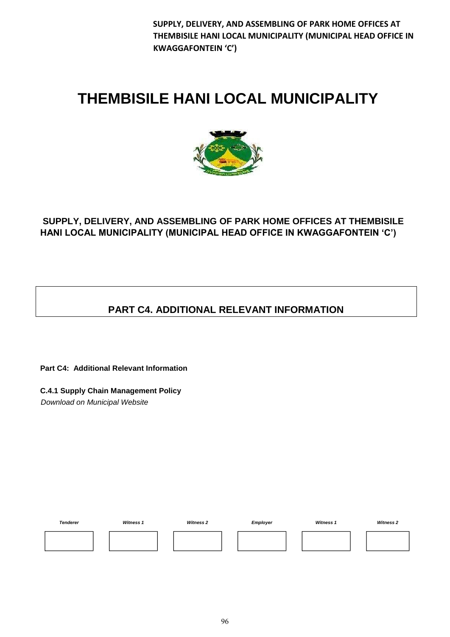# **THEMBISILE HANI LOCAL MUNICIPALITY**



# **SUPPLY, DELIVERY, AND ASSEMBLING OF PARK HOME OFFICES AT THEMBISILE HANI LOCAL MUNICIPALITY (MUNICIPAL HEAD OFFICE IN KWAGGAFONTEIN 'C')**

# **PART C4. ADDITIONAL RELEVANT INFORMATION**

**Part C4: Additional Relevant Information** 

**C.4.1 Supply Chain Management Policy**  *Download on Municipal Website* 

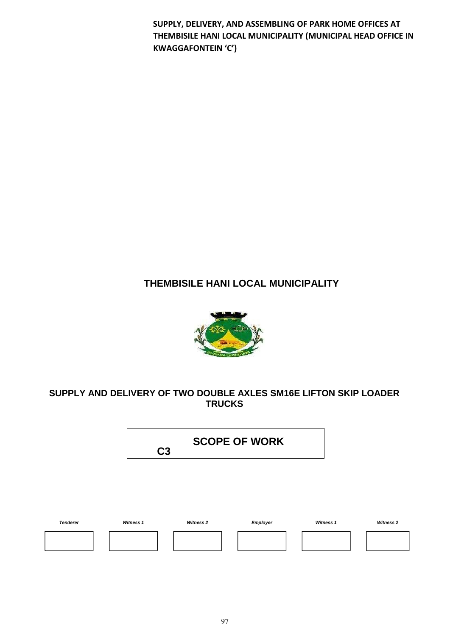# **THEMBISILE HANI LOCAL MUNICIPALITY**



# **SUPPLY AND DELIVERY OF TWO DOUBLE AXLES SM16E LIFTON SKIP LOADER TRUCKS**

**C3 SCOPE OF WORK** 

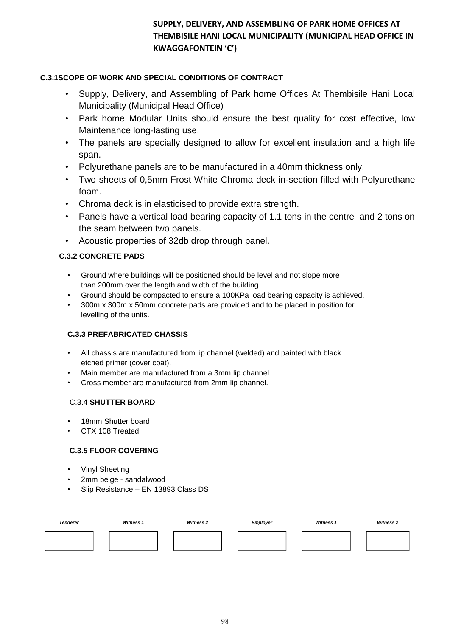#### **C.3.1SCOPE OF WORK AND SPECIAL CONDITIONS OF CONTRACT**

- Supply, Delivery, and Assembling of Park home Offices At Thembisile Hani Local Municipality (Municipal Head Office)
- Park home Modular Units should ensure the best quality for cost effective, low Maintenance long-lasting use.
- The panels are specially designed to allow for excellent insulation and a high life span.
- Polyurethane panels are to be manufactured in a 40mm thickness only.
- Two sheets of 0,5mm Frost White Chroma deck in-section filled with Polyurethane foam.
- Chroma deck is in elasticised to provide extra strength.
- Panels have a vertical load bearing capacity of 1.1 tons in the centre and 2 tons on the seam between two panels.
- Acoustic properties of 32db drop through panel.

### **C.3.2 CONCRETE PADS**

- Ground where buildings will be positioned should be level and not slope more than 200mm over the length and width of the building.
- Ground should be compacted to ensure a 100KPa load bearing capacity is achieved.
- 300m x 300m x 50mm concrete pads are provided and to be placed in position for levelling of the units.

#### **C.3.3 PREFABRICATED CHASSIS**

- All chassis are manufactured from lip channel (welded) and painted with black etched primer (cover coat).
- Main member are manufactured from a 3mm lip channel.
- Cross member are manufactured from 2mm lip channel.

#### C.3.4 **SHUTTER BOARD**

- 18mm Shutter board
- CTX 108 Treated

#### **C.3.5 FLOOR COVERING**

- **Vinyl Sheeting**
- 2mm beige sandalwood
- Slip Resistance EN 13893 Class DS

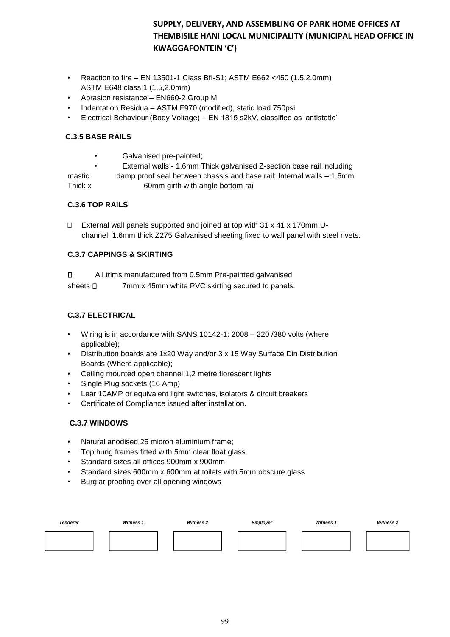- Reaction to fire EN 13501-1 Class BfI-S1; ASTM E662 <450 (1.5,2.0mm) ASTM E648 class 1 (1.5,2.0mm)
- Abrasion resistance EN660-2 Group M
- Indentation Residua ASTM F970 (modified), static load 750psi
- Electrical Behaviour (Body Voltage) EN 1815 s2kV, classified as 'antistatic'

#### **C.3.5 BASE RAILS**

• Galvanised pre-painted;

• External walls - 1.6mm Thick galvanised Z-section base rail including

mastic damp proof seal between chassis and base rail; Internal walls – 1.6mm Thick x 60mm girth with angle bottom rail

#### **C.3.6 TOP RAILS**

External wall panels supported and joined at top with  $31 \times 41 \times 170$  mm Uchannel, 1.6mm thick Z275 Galvanised sheeting fixed to wall panel with steel rivets.

#### **C.3.7 CAPPINGS & SKIRTING**

 $\Box$ All trims manufactured from 0.5mm Pre-painted galvanised

sheets  $\Box$  7mm x 45mm white PVC skirting secured to panels.

#### **C.3.7 ELECTRICAL**

- Wiring is in accordance with SANS 10142-1: 2008 220 /380 volts (where applicable);
- Distribution boards are 1x20 Way and/or 3 x 15 Way Surface Din Distribution Boards (Where applicable);
- Ceiling mounted open channel 1,2 metre florescent lights
- Single Plug sockets (16 Amp)
- Lear 10AMP or equivalent light switches, isolators & circuit breakers
- Certificate of Compliance issued after installation.

#### **C.3.7 WINDOWS**

- Natural anodised 25 micron aluminium frame;
- Top hung frames fitted with 5mm clear float glass
- Standard sizes all offices 900mm x 900mm
- Standard sizes 600mm x 600mm at toilets with 5mm obscure glass
- Burglar proofing over all opening windows

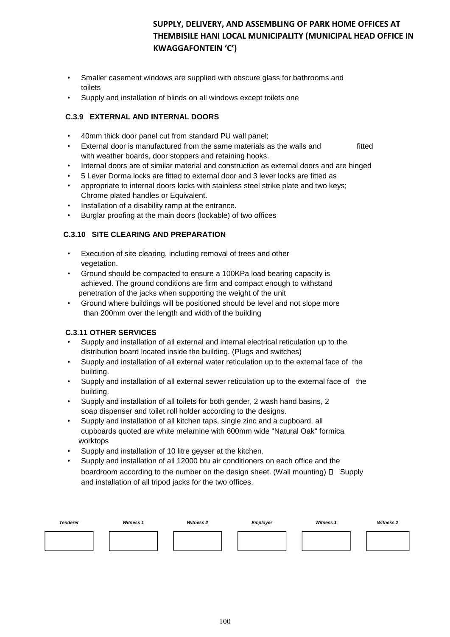- Smaller casement windows are supplied with obscure glass for bathrooms and toilets
- Supply and installation of blinds on all windows except toilets one

#### **C.3.9 EXTERNAL AND INTERNAL DOORS**

- 40mm thick door panel cut from standard PU wall panel;
- External door is manufactured from the same materials as the walls and fitted with weather boards, door stoppers and retaining hooks.
- Internal doors are of similar material and construction as external doors and are hinged
- 5 Lever Dorma locks are fitted to external door and 3 lever locks are fitted as
- appropriate to internal doors locks with stainless steel strike plate and two keys; Chrome plated handles or Equivalent.
- Installation of a disability ramp at the entrance.
- Burglar proofing at the main doors (lockable) of two offices

#### **C.3.10 SITE CLEARING AND PREPARATION**

- Execution of site clearing, including removal of trees and other vegetation.
- Ground should be compacted to ensure a 100KPa load bearing capacity is achieved. The ground conditions are firm and compact enough to withstand penetration of the jacks when supporting the weight of the unit
- Ground where buildings will be positioned should be level and not slope more than 200mm over the length and width of the building

#### **C.3.11 OTHER SERVICES**

- Supply and installation of all external and internal electrical reticulation up to the distribution board located inside the building. (Plugs and switches)
- Supply and installation of all external water reticulation up to the external face of the building.
- Supply and installation of all external sewer reticulation up to the external face of the building.
- Supply and installation of all toilets for both gender, 2 wash hand basins, 2 soap dispenser and toilet roll holder according to the designs.
- Supply and installation of all kitchen taps, single zinc and a cupboard, all cupboards quoted are white melamine with 600mm wide "Natural Oak" formica worktops
- Supply and installation of 10 litre geyser at the kitchen.
- Supply and installation of all 12000 btu air conditioners on each office and the boardroom according to the number on the design sheet. (Wall mounting)  $\Box$  Supply and installation of all tripod jacks for the two offices.

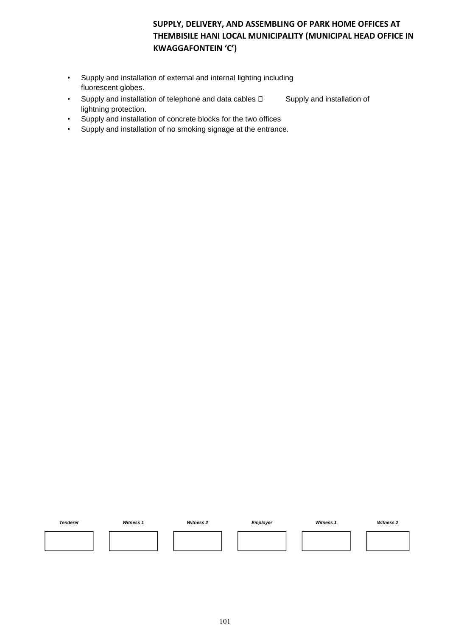- Supply and installation of external and internal lighting including fluorescent globes.
- Supply and installation of telephone and data cables  $\square$  Supply and installation of lightning protection.
- Supply and installation of concrete blocks for the two offices
- Supply and installation of no smoking signage at the entrance.

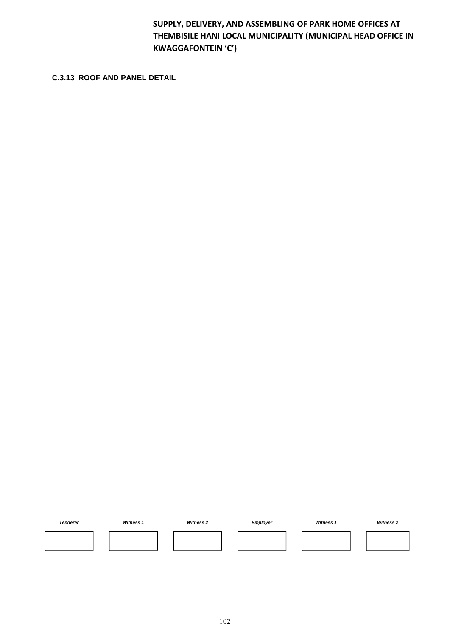**C.3.13 ROOF AND PANEL DETAIL**

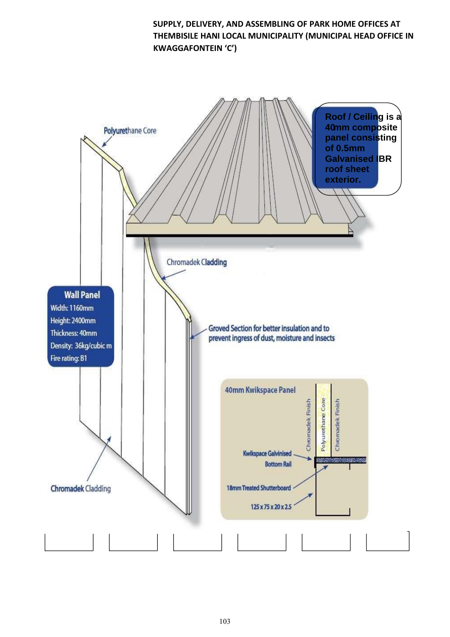